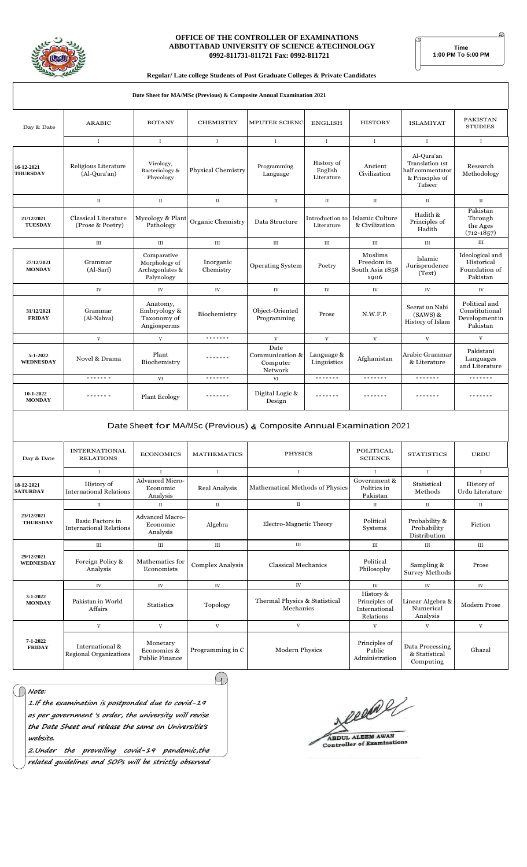

#### OFFICE OF THE CONTROLLER OF EXAMINATIONS ABBOTTABAD UNIVERSITY OF SCIENCE &TECHNOLOGY 0992-811731-811721 Fax: 0992-811721

Time<br>1:00 PM To 5:00 PM

#### Regular/ Late college Students of Post Graduate Colleges & Private Candidates

| Date Sheet for MA/MSc (Previous) & Composite Annual Examination 2021 |                                          |                                                               |                                          |                                                |                               |                                                  |                                                                                        |                                                               |
|----------------------------------------------------------------------|------------------------------------------|---------------------------------------------------------------|------------------------------------------|------------------------------------------------|-------------------------------|--------------------------------------------------|----------------------------------------------------------------------------------------|---------------------------------------------------------------|
| Day & Date                                                           | <b>ARABIC</b>                            | <b>BOTANY</b>                                                 | <b>CHEMISTRY</b><br><b>MPUTER SCIENC</b> |                                                | <b>ENGLISH</b>                | <b>HISTORY</b>                                   | <b>ISLAMIYAT</b>                                                                       | <b>PAKISTAN</b><br><b>STUDIES</b>                             |
|                                                                      | $\mathbf{I}$                             | $\mathbf{I}$                                                  | $\mathbf I$                              | $\mathbf{I}$                                   | $\mathbf{I}$                  | $\mathbf{I}$                                     | $\;$ I                                                                                 | $\mathbf{I}$                                                  |
| 16-12-2021<br><b>THURSDAY</b>                                        | Religious Literature<br>(Al-Qura'an)     | Virology,<br>Bacteriology &<br>Phycology                      | Physical Chemistry                       | Programming<br>Language                        |                               | Ancient<br>Civilization                          | Al-Qura'an<br><b>Translation 1st</b><br>half commentator<br>& Principles of<br>Tafseer | Research<br>Methodology                                       |
|                                                                      | $\mathbf{I}$                             | $\rm II$                                                      | $\rm II$                                 | $\scriptstyle\rm II$                           | $\rm II$                      | $\rm II$                                         | $\rm II$                                                                               | $\scriptstyle\rm II$                                          |
| 21/12/2021<br><b>TUESDAY</b>                                         | Classical Literature<br>(Prose & Poetry) | Mycology & Plant<br>Pathology                                 | Organic Chemistry                        | Data Structure                                 | Introduction to<br>Literature | Islamic Culture<br>& Civilization                | Hadith &<br>Principles of<br>Hadith                                                    | Pakistan<br>Through<br>the Ages<br>$(712 - 1857)$             |
|                                                                      | <b>III</b>                               | <b>III</b>                                                    | IΙI                                      | <b>III</b>                                     | $\rm III$                     | <b>III</b>                                       | $\rm III$                                                                              | III                                                           |
| 27/12/2021<br><b>MONDAY</b>                                          | Grammar<br>$(Al-Sarf)$                   | Comparative<br>Morphology of<br>Archegonlates &<br>Palynology | Inorganic<br>Chemistry                   | <b>Operating System</b>                        | Poetry                        | Muslims<br>Freedom in<br>South Asia 1858<br>1906 | Islamic<br>Jurisprudence<br>(Text)                                                     | Ideological and<br>Historical<br>Foundation of<br>Pakistan    |
|                                                                      | IV                                       | IV                                                            | <b>IV</b>                                | <b>IV</b>                                      | <b>IV</b>                     | <b>IV</b>                                        | IV                                                                                     | IV                                                            |
| 31/12/2021<br><b>FRIDAY</b>                                          | Grammar<br>(Al-Nahva)                    | Anatomy,<br>Embryology &<br>Taxonomy of<br>Angiosperms        | Biochemistry                             | Object-Oriented<br>Programming                 | Prose                         | N.W.F.P.                                         | Seerat un Nabi<br>$(SAWS)$ &<br>History of Islam                                       | Political and<br>Constitutional<br>Development in<br>Pakistan |
|                                                                      | $\mathbf{V}$                             | $\mathbf{V}$                                                  | * * * * * * *                            | $\mathbf{V}$                                   | $\mathbf{V}$                  | $\mathbf v$                                      | V                                                                                      | $\mathbf{V}$                                                  |
| 5-1-2022<br><b>WEDNESDAY</b>                                         | Novel & Drama                            | Plant<br>Biochemistry                                         | * * * * * * *                            | Date<br>Communication &<br>Computer<br>Network | Language &<br>Linguistics     | Afghanistan                                      | Arabic Grammar<br>& Literature                                                         | Pakistani<br>Languages<br>and Literature                      |
|                                                                      | * * * * * * *                            | VI                                                            | * * * * * * *                            | VI                                             | * * * * * * *                 | * * * * * * *                                    | * * * * * * *                                                                          | * * * * * * *                                                 |
| 10-1-2022<br><b>MONDAY</b>                                           | * * * * * * *                            | Plant Ecology                                                 | * * * * * * *                            | Digital Logic &<br>Design                      | * * * * * * *                 | *******                                          | * * * * * * *                                                                          | *******                                                       |
|                                                                      |                                          |                                                               |                                          |                                                |                               |                                                  |                                                                                        |                                                               |

### Date Sheet for MA/MSc (Previous) & Composite Annual Examination 2021

| Day & Date                      | <b>INTERNATIONAL</b><br><b>RELATIONS</b>                  | <b>ECONOMICS</b>                                 | <b>MATHEMATICS</b>              | <b>PHYSICS</b>                             | <b>POLITICAL</b><br><b>SCIENCE</b>                       | <b>STATISTICS</b>                             | URDU                          |
|---------------------------------|-----------------------------------------------------------|--------------------------------------------------|---------------------------------|--------------------------------------------|----------------------------------------------------------|-----------------------------------------------|-------------------------------|
|                                 | $\mathbf{I}$                                              | $\mathbf I$                                      | $\mathbf I$                     | $\bf{I}$                                   | $\mathbf{I}$                                             | $\mathbf{I}$                                  | $\mathbf{I}$                  |
| 18-12-2021<br><b>SATURDAY</b>   | History of<br><b>International Relations</b>              | <b>Advanced Micro-</b><br>Economic<br>Analysis   | Real Analysis                   | Mathematical Methods of Physics            | Government &<br>Politics in<br>Pakistan                  | Statistical<br>Methods                        | History of<br>Urdu Literature |
| 23/12/2021<br><b>THURSDAY</b>   | $_{\rm II}$                                               | $_{\rm II}$                                      | $_{\rm II}$                     | $\rm II$                                   | П                                                        | П                                             | $\scriptstyle\rm II$          |
|                                 | <b>Basic Factors in</b><br><b>International Relations</b> | <b>Advanced Macro-</b><br>Economic<br>Analysis   | Algebra                         | Electro-Magnetic Theory                    | Political<br>Systems                                     | Probability &<br>Probability<br>Distribution  | Fiction                       |
|                                 | $\rm III$                                                 | III                                              | III                             | $\rm III$                                  | <b>III</b>                                               | III                                           | $\rm III$                     |
| 29/12/2021<br><b>WEDNESDAY</b>  | Foreign Policy &<br>Analysis                              | Mathematics for<br>Economists                    | <b>Complex Analysis</b>         | <b>Classical Mechanics</b>                 | Political<br>Philosophy                                  | Sampling &<br>Survey Methods                  | Prose                         |
|                                 | IV                                                        | IV                                               | $\ensuremath{\text{IV}}\xspace$ | IV                                         | $I\!V$                                                   | IV                                            | IV                            |
| $3 - 1 - 2022$<br><b>MONDAY</b> | Pakistan in World<br>Affairs                              | <b>Statistics</b>                                | Topology                        | Thermal Physics & Statistical<br>Mechanics | History &<br>Principles of<br>International<br>Relations | Linear Algebra &<br>Numerical<br>Analysis     | <b>Modern Prose</b>           |
|                                 | $\mathbf V$                                               | V                                                | V                               | $\mathbf V$                                | V                                                        | V                                             | V                             |
| $7 - 1 - 2022$<br><b>FRIDAY</b> | International &<br><b>Regional Organizations</b>          | Monetary<br>Economics &<br><b>Public Finance</b> | Programming in C                | <b>Modern Physics</b>                      | Principles of<br>Public<br>Administration                | Data Processing<br>& Statistical<br>Computing | Ghazal                        |

 $\sqrt{2}$ 

| $\int$ Note:<br>1.If the examination is postponded due to covid-19 |
|--------------------------------------------------------------------|
| as per government 's order, the university will revise             |

the university will revise the Date Sheet and release the same on Universitie's website.

2.Under the prevailing covid-19 pandemic,the

related guidelines and SOPs will be strictly observed

eeene × ABDUL ALEEM AWAN<br>Controller of Examinations